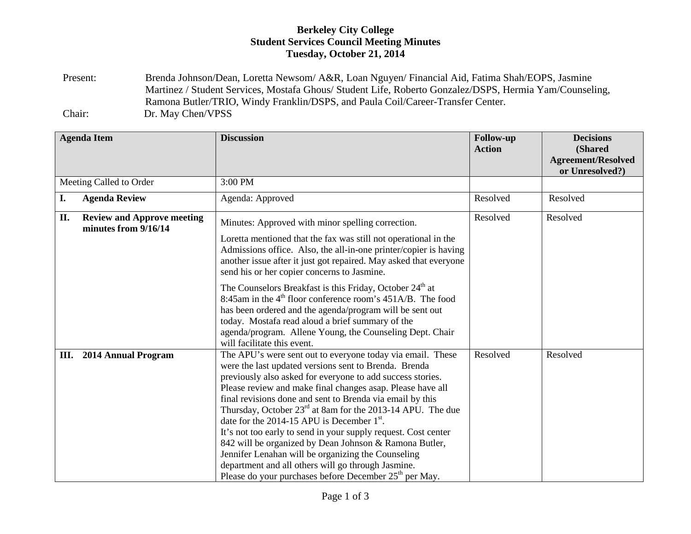## **Berkeley City College Student Services Council Meeting Minutes Tuesday, October 21, 2014**

Present: Brenda Johnson/Dean, Loretta Newsom/ A&R, Loan Nguyen/ Financial Aid, Fatima Shah/EOPS, Jasmine Martinez / Student Services, Mostafa Ghous/ Student Life, Roberto Gonzalez/DSPS, Hermia Yam/Counseling, Ramona Butler/TRIO, Windy Franklin/DSPS, and Paula Coil/Career-Transfer Center. Chair: Dr. May Chen/VPSS

|                         | <b>Agenda Item</b>                                        | <b>Discussion</b>                                                                                                                                                                                                                                                                                                                                                                                                                                                                                                                                                                                                                                                                                                                   | <b>Follow-up</b><br><b>Action</b> | <b>Decisions</b><br>(Shared<br><b>Agreement/Resolved</b><br>or Unresolved?) |
|-------------------------|-----------------------------------------------------------|-------------------------------------------------------------------------------------------------------------------------------------------------------------------------------------------------------------------------------------------------------------------------------------------------------------------------------------------------------------------------------------------------------------------------------------------------------------------------------------------------------------------------------------------------------------------------------------------------------------------------------------------------------------------------------------------------------------------------------------|-----------------------------------|-----------------------------------------------------------------------------|
| Meeting Called to Order |                                                           | 3:00 PM                                                                                                                                                                                                                                                                                                                                                                                                                                                                                                                                                                                                                                                                                                                             |                                   |                                                                             |
| I.                      | <b>Agenda Review</b>                                      | Agenda: Approved                                                                                                                                                                                                                                                                                                                                                                                                                                                                                                                                                                                                                                                                                                                    | Resolved                          | Resolved                                                                    |
| II.                     | <b>Review and Approve meeting</b><br>minutes from 9/16/14 | Minutes: Approved with minor spelling correction.                                                                                                                                                                                                                                                                                                                                                                                                                                                                                                                                                                                                                                                                                   | Resolved                          | Resolved                                                                    |
|                         |                                                           | Loretta mentioned that the fax was still not operational in the<br>Admissions office. Also, the all-in-one printer/copier is having<br>another issue after it just got repaired. May asked that everyone<br>send his or her copier concerns to Jasmine.                                                                                                                                                                                                                                                                                                                                                                                                                                                                             |                                   |                                                                             |
|                         |                                                           | The Counselors Breakfast is this Friday, October 24 <sup>th</sup> at<br>8:45am in the $4th$ floor conference room's 451A/B. The food<br>has been ordered and the agenda/program will be sent out<br>today. Mostafa read aloud a brief summary of the<br>agenda/program. Allene Young, the Counseling Dept. Chair<br>will facilitate this event.                                                                                                                                                                                                                                                                                                                                                                                     |                                   |                                                                             |
| Ш.                      | 2014 Annual Program                                       | The APU's were sent out to everyone today via email. These<br>were the last updated versions sent to Brenda. Brenda<br>previously also asked for everyone to add success stories.<br>Please review and make final changes asap. Please have all<br>final revisions done and sent to Brenda via email by this<br>Thursday, October $23^{rd}$ at 8am for the 2013-14 APU. The due<br>date for the 2014-15 APU is December $1st$ .<br>It's not too early to send in your supply request. Cost center<br>842 will be organized by Dean Johnson & Ramona Butler,<br>Jennifer Lenahan will be organizing the Counseling<br>department and all others will go through Jasmine.<br>Please do your purchases before December $25th$ per May. | Resolved                          | Resolved                                                                    |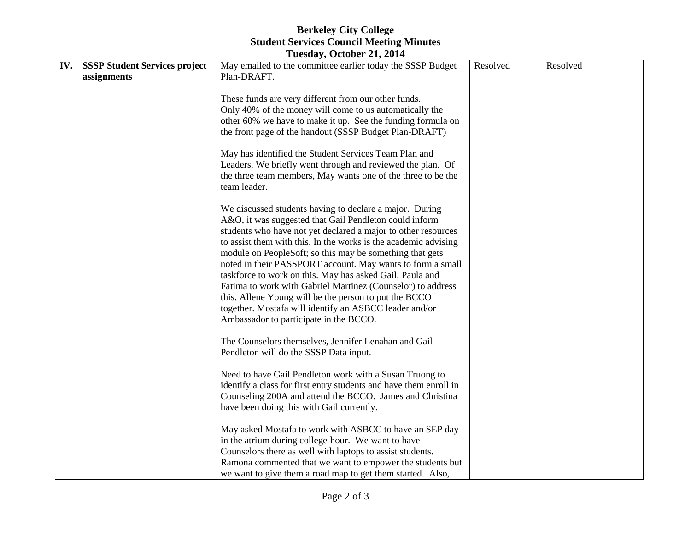## **Berkeley City College Student Services Council Meeting Minutes**

| Tuesday, October 21, 2014 |                                      |                                                                   |          |          |  |  |  |  |
|---------------------------|--------------------------------------|-------------------------------------------------------------------|----------|----------|--|--|--|--|
| IV.                       | <b>SSSP Student Services project</b> | May emailed to the committee earlier today the SSSP Budget        | Resolved | Resolved |  |  |  |  |
|                           | assignments                          | Plan-DRAFT.                                                       |          |          |  |  |  |  |
|                           |                                      |                                                                   |          |          |  |  |  |  |
|                           |                                      | These funds are very different from our other funds.              |          |          |  |  |  |  |
|                           |                                      | Only 40% of the money will come to us automatically the           |          |          |  |  |  |  |
|                           |                                      | other 60% we have to make it up. See the funding formula on       |          |          |  |  |  |  |
|                           |                                      | the front page of the handout (SSSP Budget Plan-DRAFT)            |          |          |  |  |  |  |
|                           |                                      | May has identified the Student Services Team Plan and             |          |          |  |  |  |  |
|                           |                                      | Leaders. We briefly went through and reviewed the plan. Of        |          |          |  |  |  |  |
|                           |                                      | the three team members, May wants one of the three to be the      |          |          |  |  |  |  |
|                           |                                      | team leader.                                                      |          |          |  |  |  |  |
|                           |                                      |                                                                   |          |          |  |  |  |  |
|                           |                                      | We discussed students having to declare a major. During           |          |          |  |  |  |  |
|                           |                                      | A&O, it was suggested that Gail Pendleton could inform            |          |          |  |  |  |  |
|                           |                                      | students who have not yet declared a major to other resources     |          |          |  |  |  |  |
|                           |                                      | to assist them with this. In the works is the academic advising   |          |          |  |  |  |  |
|                           |                                      | module on PeopleSoft; so this may be something that gets          |          |          |  |  |  |  |
|                           |                                      | noted in their PASSPORT account. May wants to form a small        |          |          |  |  |  |  |
|                           |                                      | taskforce to work on this. May has asked Gail, Paula and          |          |          |  |  |  |  |
|                           |                                      | Fatima to work with Gabriel Martinez (Counselor) to address       |          |          |  |  |  |  |
|                           |                                      | this. Allene Young will be the person to put the BCCO             |          |          |  |  |  |  |
|                           |                                      | together. Mostafa will identify an ASBCC leader and/or            |          |          |  |  |  |  |
|                           |                                      | Ambassador to participate in the BCCO.                            |          |          |  |  |  |  |
|                           |                                      | The Counselors themselves, Jennifer Lenahan and Gail              |          |          |  |  |  |  |
|                           |                                      | Pendleton will do the SSSP Data input.                            |          |          |  |  |  |  |
|                           |                                      |                                                                   |          |          |  |  |  |  |
|                           |                                      | Need to have Gail Pendleton work with a Susan Truong to           |          |          |  |  |  |  |
|                           |                                      | identify a class for first entry students and have them enroll in |          |          |  |  |  |  |
|                           |                                      | Counseling 200A and attend the BCCO. James and Christina          |          |          |  |  |  |  |
|                           |                                      | have been doing this with Gail currently.                         |          |          |  |  |  |  |
|                           |                                      | May asked Mostafa to work with ASBCC to have an SEP day           |          |          |  |  |  |  |
|                           |                                      | in the atrium during college-hour. We want to have                |          |          |  |  |  |  |
|                           |                                      | Counselors there as well with laptops to assist students.         |          |          |  |  |  |  |
|                           |                                      | Ramona commented that we want to empower the students but         |          |          |  |  |  |  |
|                           |                                      | we want to give them a road map to get them started. Also,        |          |          |  |  |  |  |